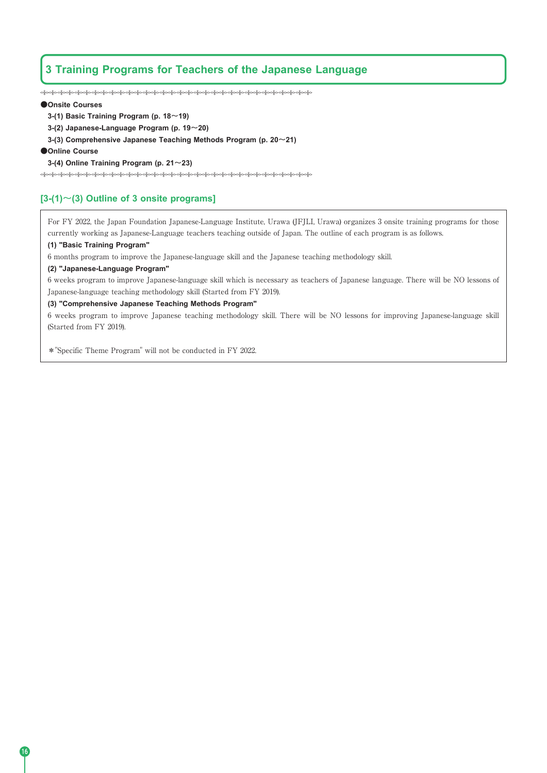# **3 Training Programs for Teachers of the Japanese Language**

့<br>လိုဝင်္ဂလိုဝင်္ဂလိုဝင်္ဂလိုဝင်္ဂလိုဝင်္ဂလိုဝင်္ဂလိုဝင်္ဂလိုဝင်္ဂလိုဝင်္ဂလိုဝင်္ဂလိုဝင်္ဂလိုဝင်္ဂလိုဝင်္ဂလိုဝင်

## **●Onsite Courses**

- **3-(1) Basic Training Program (p. 18~19)**
- **3-(2) Japanese-Language Program (p. 19~20)**
- **3-(3) Comprehensive Japanese Teaching Methods Program (p. 20~21)**

#### **●Online Course**

## **3-(4) Online Training Program (p. 21~23)**

## **[3-(1)~(3) Outline of 3 onsite programs]**

For FY 2022, the Japan Foundation Japanese-Language Institute, Urawa (JFJLI, Urawa) organizes 3 onsite training programs for those currently working as Japanese-Language teachers teaching outside of Japan. The outline of each program is as follows.

## **(1) "Basic Training Program"**

6 months program to improve the Japanese-language skill and the Japanese teaching methodology skill.

## **(2) "Japanese-Language Program"**

6 weeks program to improve Japanese-language skill which is necessary as teachers of Japanese language. There will be NO lessons of Japanese-language teaching methodology skill (Started from FY 2019).

#### **(3) "Comprehensive Japanese Teaching Methods Program"**

6 weeks program to improve Japanese teaching methodology skill. There will be NO lessons for improving Japanese-language skill (Started from FY 2019).

\*"Specific Theme Program" will not be conducted in FY 2022.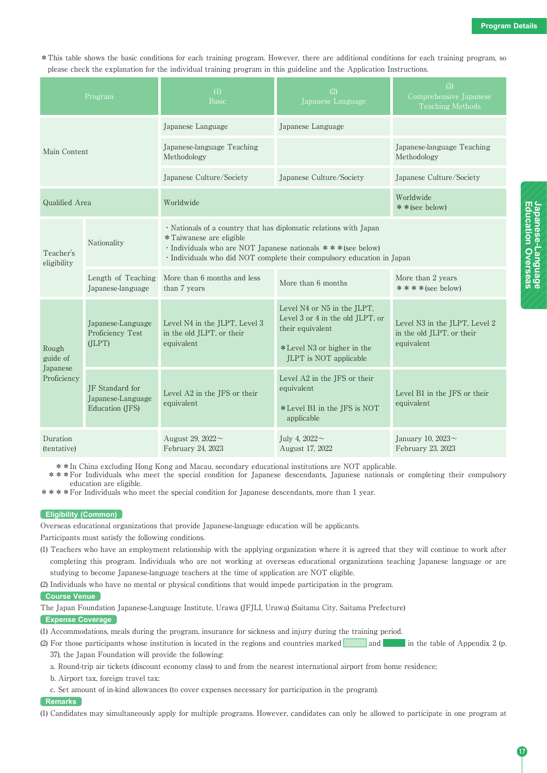\*This table shows the basic conditions for each training program. However, there are additional conditions for each training program, so please check the explanation for the individual training program in this guideline and the Application Instructions.

| Program                                      |                                                         | (1)<br>Basic                                                                                                                                                                                                                            | (2)<br>Japanese Language                                                                                                                    | (3)<br>Comprehensive Japanese<br><b>Teaching Methods</b>                 |
|----------------------------------------------|---------------------------------------------------------|-----------------------------------------------------------------------------------------------------------------------------------------------------------------------------------------------------------------------------------------|---------------------------------------------------------------------------------------------------------------------------------------------|--------------------------------------------------------------------------|
| Main Content                                 |                                                         | Japanese Language                                                                                                                                                                                                                       | Japanese Language                                                                                                                           |                                                                          |
|                                              |                                                         | Japanese-language Teaching<br>Methodology                                                                                                                                                                                               |                                                                                                                                             | Japanese-language Teaching<br>Methodology                                |
|                                              |                                                         | Japanese Culture/Society                                                                                                                                                                                                                | Japanese Culture/Society                                                                                                                    | Japanese Culture/Society                                                 |
| Qualified Area                               |                                                         | Worldwide                                                                                                                                                                                                                               |                                                                                                                                             | Worldwide<br>* * (see below)                                             |
| Teacher's<br>eligibility                     | Nationality                                             | · Nationals of a country that has diplomatic relations with Japan<br>* Taiwanese are eligible<br>· Individuals who are NOT Japanese nationals *** (see below)<br>· Individuals who did NOT complete their compulsory education in Japan |                                                                                                                                             |                                                                          |
|                                              | Length of Teaching<br>Japanese-language                 | More than 6 months and less<br>than 7 years                                                                                                                                                                                             | More than 6 months                                                                                                                          | More than 2 years<br>$****(see below)$                                   |
| Rough<br>guide of<br>Japanese<br>Proficiency | Japanese-Language<br>Proficiency Test<br>(JLPT)         | Level N4 in the JLPT, Level 3<br>in the old JLPT, or their<br>equivalent                                                                                                                                                                | Level N4 or N5 in the JLPT,<br>Level 3 or 4 in the old JLPT, or<br>their equivalent<br>*Level N3 or higher in the<br>JLPT is NOT applicable | Level N3 in the JLPT, Level 2<br>in the old JLPT, or their<br>equivalent |
|                                              | IF Standard for<br>Japanese-Language<br>Education (JFS) | Level A2 in the JFS or their<br>equivalent                                                                                                                                                                                              | Level A2 in the JFS or their<br>equivalent<br>*Level B1 in the JFS is NOT<br>applicable                                                     | Level B1 in the JFS or their<br>equivalent                               |
| Duration<br>(tentative)                      |                                                         | August 29, 2022~<br>February 24, 2023                                                                                                                                                                                                   | July 4, $2022 \sim$<br>August 17, 2022                                                                                                      | January 10, 2023~<br>February 23, 2023                                   |

\*\*In China excluding Hong Kong and Macau, secondary educational institutions are NOT applicable.

\*\*\*For Individuals who meet the special condition for Japanese descendants, Japanese nationals or completing their compulsory education are eligible.

\*\*\*\*For Individuals who meet the special condition for Japanese descendants, more than 1 year.

#### **Eligibility (Common)**

Overseas educational organizations that provide Japanese-language education will be applicants.

Participants must satisfy the following conditions.

(1) Teachers who have an employment relationship with the applying organization where it is agreed that they will continue to work after completing this program. Individuals who are not working at overseas educational organizations teaching Japanese language or are studying to become Japanese-language teachers at the time of application are NOT eligible.

(2) Individuals who have no mental or physical conditions that would impede participation in the program.

#### **Course Venue**

The Japan Foundation Japanese-Language Institute, Urawa (JFJLI, Urawa) (Saitama City, Saitama Prefecture)

```
Expense Coverage
```
(1) Accommodations, meals during the program, insurance for sickness and injury during the training period.

(2) For those participants whose institution is located in the regions and countries marked  $\boxed{\phantom{\qquad}$  and  $\phantom{\qquad}$  in the table of Appendix 2 (p. 37), the Japan Foundation will provide the following:

a. Round-trip air tickets (discount economy class) to and from the nearest international airport from home residence;

b. Airport tax, foreign travel tax;

c. Set amount of in-kind allowances (to cover expenses necessary for participation in the program).

#### **Remarks**

(1) Candidates may simultaneously apply for multiple programs. However, candidates can only be allowed to participate in one program at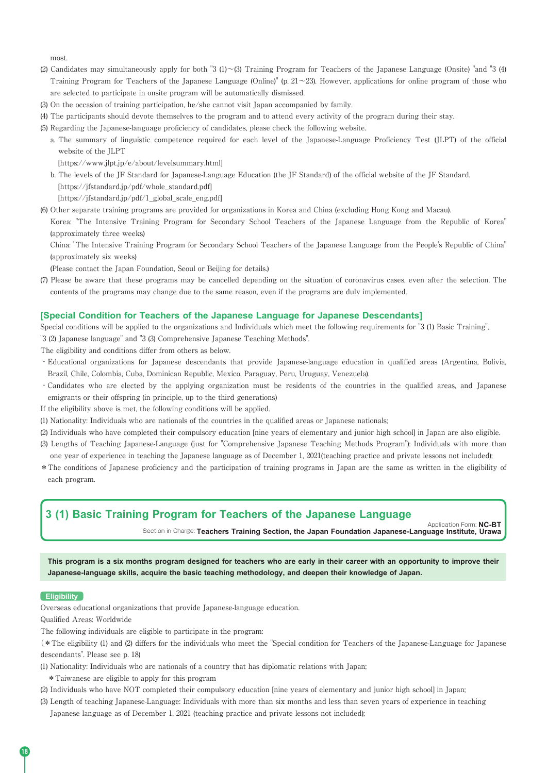most.

- (2) Candidates may simultaneously apply for both "3  $(1) \sim (3)$  Training Program for Teachers of the Japanese Language (Onsite) "and "3 (4) Training Program for Teachers of the Japanese Language (Online)" (p.  $21 \sim 23$ ). However, applications for online program of those who are selected to participate in onsite program will be automatically dismissed.
- (3) On the occasion of training participation, he/she cannot visit Japan accompanied by family.
- (4) The participants should devote themselves to the program and to attend every activity of the program during their stay.
- (5) Regarding the Japanese-language proficiency of candidates, please check the following website.
- a. The summary of linguistic competence required for each level of the Japanese-Language Proficiency Test (JLPT) of the official website of the JLPT

[https://www.jlpt.jp/e/about/levelsummary.html]

b. The levels of the JF Standard for Japanese-Language Education (the JF Standard) of the official website of the JF Standard. [https://jfstandard.jp/pdf/whole\_standard.pdf]

[https://jfstandard.jp/pdf/1\_global\_scale\_eng.pdf]

(6) Other separate training programs are provided for organizations in Korea and China (excluding Hong Kong and Macau).

Korea: "The Intensive Training Program for Secondary School Teachers of the Japanese Language from the Republic of Korea" (approximately three weeks)

China: "The Intensive Training Program for Secondary School Teachers of the Japanese Language from the People's Republic of China" (approximately six weeks)

(Please contact the Japan Foundation, Seoul or Beijing for details.)

(7) Please be aware that these programs may be cancelled depending on the situation of coronavirus cases, even after the selection. The contents of the programs may change due to the same reason, even if the programs are duly implemented.

## **[Special Condition for Teachers of the Japanese Language for Japanese Descendants]**

Special conditions will be applied to the organizations and Individuals which meet the following requirements for "3 (1) Basic Training", "3 (2) Japanese language" and "3 (3) Comprehensive Japanese Teaching Methods".

The eligibility and conditions differ from others as below.

- ・Educational organizations for Japanese descendants that provide Japanese-language education in qualified areas (Argentina, Bolivia, Brazil, Chile, Colombia, Cuba, Dominican Republic, Mexico, Paraguay, Peru, Uruguay, Venezuela).
- ・Candidates who are elected by the applying organization must be residents of the countries in the qualified areas, and Japanese emigrants or their offspring (in principle, up to the third generations)
- If the eligibility above is met, the following conditions will be applied.
- (1) Nationality: Individuals who are nationals of the countries in the qualified areas or Japanese nationals;
- (2) Individuals who have completed their compulsory education [nine years of elementary and junior high school] in Japan are also eligible.
- (3) Lengths of Teaching Japanese-Language (just for "Comprehensive Japanese Teaching Methods Program"): Individuals with more than one year of experience in teaching the Japanese language as of December 1, 2021(teaching practice and private lessons not included);
- \*The conditions of Japanese proficiency and the participation of training programs in Japan are the same as written in the eligibility of each program.

## **3 (1) Basic Training Program for Teachers of the Japanese Language**

Section in Charge: **Teachers Training Section, the Japan Foundation Japanese-Language Institute, Urawa**

Application Form: **NC-BT**

**This program is a six months program designed for teachers who are early in their career with an opportunity to improve their Japanese-language skills, acquire the basic teaching methodology, and deepen their knowledge of Japan.**

#### **Eligibility**

Overseas educational organizations that provide Japanese-language education.

Qualified Areas: Worldwide

The following individuals are eligible to participate in the program:

(\*The eligibility (1) and (2) differs for the individuals who meet the "Special condition for Teachers of the Japanese-Language for Japanese descendants". Please see p. 18)

- (1) Nationality: Individuals who are nationals of a country that has diplomatic relations with Japan;
- \*Taiwanese are eligible to apply for this program
- (2) Individuals who have NOT completed their compulsory education [nine years of elementary and junior high school] in Japan;

(3) Length of teaching Japanese-Language: Individuals with more than six months and less than seven years of experience in teaching

Japanese language as of December 1, 2021 (teaching practice and private lessons not included);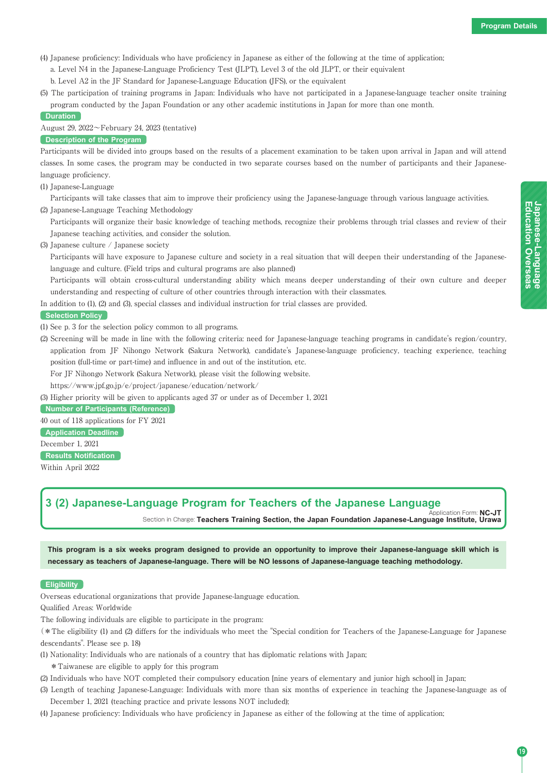**Education**

**Japanese-Language<br>Education Overseas** 

**Japanese-Language**

**Overseas**

(4) Japanese proficiency: Individuals who have proficiency in Japanese as either of the following at the time of application;

a. Level N4 in the Japanese-Language Proficiency Test (JLPT), Level 3 of the old JLPT, or their equivalent

b. Level A2 in the JF Standard for Japanese-Language Education (JFS), or the equivalent

(5) The participation of training programs in Japan: Individuals who have not participated in a Japanese-language teacher onsite training program conducted by the Japan Foundation or any other academic institutions in Japan for more than one month.

### **Duration**

August 29, 2022~February 24, 2023 (tentative)

## **Description of the Program**

Participants will be divided into groups based on the results of a placement examination to be taken upon arrival in Japan and will attend classes. In some cases, the program may be conducted in two separate courses based on the number of participants and their Japaneselanguage proficiency.

(1) Japanese-Language

Participants will take classes that aim to improve their proficiency using the Japanese-language through various language activities. (2) Japanese-Language Teaching Methodology

Participants will organize their basic knowledge of teaching methods, recognize their problems through trial classes and review of their Japanese teaching activities, and consider the solution.

(3) Japanese culture / Japanese society

Participants will have exposure to Japanese culture and society in a real situation that will deepen their understanding of the Japaneselanguage and culture. (Field trips and cultural programs are also planned)

Participants will obtain cross-cultural understanding ability which means deeper understanding of their own culture and deeper understanding and respecting of culture of other countries through interaction with their classmates.

In addition to (1), (2) and (3), special classes and individual instruction for trial classes are provided.

**Selection Policy**

- (1) See p. 3 for the selection policy common to all programs.
- (2) Screening will be made in line with the following criteria: need for Japanese-language teaching programs in candidate's region/country, application from JF Nihongo Network (Sakura Network), candidate's Japanese-language proficiency, teaching experience, teaching position (full-time or part-time) and influence in and out of the institution, etc.

For JF Nihongo Network (Sakura Network), please visit the following website.

https://www.jpf.go.jp/e/project/japanese/education/network/

(3) Higher priority will be given to applicants aged 37 or under as of December 1, 2021

**Number of Participants (Reference)**

40 out of 118 applications for FY 2021

**Application Deadline** December 1, 2021

**Results Notification**

Within April 2022

# **3 (2) Japanese-Language Program for Teachers of the Japanese Language**

Application Form: **NC-JT** Section in Charge: **Teachers Training Section, the Japan Foundation Japanese-Language Institute, Urawa**

**This program is a six weeks program designed to provide an opportunity to improve their Japanese-language skill which is necessary as teachers of Japanese-language. There will be NO lessons of Japanese-language teaching methodology.**

#### **Eligibility**

Overseas educational organizations that provide Japanese-language education.

Qualified Areas: Worldwide

The following individuals are eligible to participate in the program:

(\*The eligibility (1) and (2) differs for the individuals who meet the "Special condition for Teachers of the Japanese-Language for Japanese descendants". Please see p. 18)

(1) Nationality: Individuals who are nationals of a country that has diplomatic relations with Japan;

\*Taiwanese are eligible to apply for this program

- (2) Individuals who have NOT completed their compulsory education [nine years of elementary and junior high school] in Japan;
- (3) Length of teaching Japanese-Language: Individuals with more than six months of experience in teaching the Japanese-language as of December 1, 2021 (teaching practice and private lessons NOT included);
- (4) Japanese proficiency: Individuals who have proficiency in Japanese as either of the following at the time of application;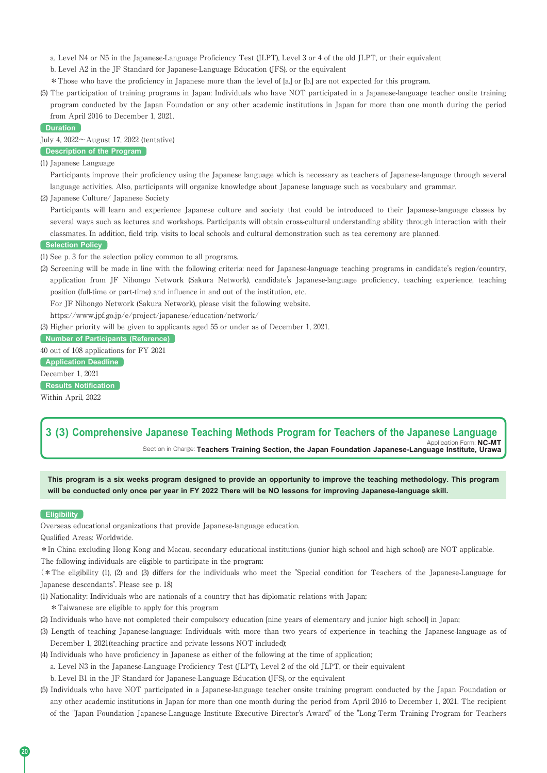a. Level N4 or N5 in the Japanese-Language Proficiency Test (JLPT), Level 3 or 4 of the old JLPT, or their equivalent

b. Level A2 in the JF Standard for Japanese-Language Education (JFS), or the equivalent

\*Those who have the proficiency in Japanese more than the level of [a.] or [b.] are not expected for this program.

(5) The participation of training programs in Japan: Individuals who have NOT participated in a Japanese-language teacher onsite training program conducted by the Japan Foundation or any other academic institutions in Japan for more than one month during the period from April 2016 to December 1, 2021.

**Duration**

July 4, 2022~August 17, 2022 (tentative)

## **Description of the Program**

(1) Japanese Language

Participants improve their proficiency using the Japanese language which is necessary as teachers of Japanese-language through several language activities. Also, participants will organize knowledge about Japanese language such as vocabulary and grammar.

(2) Japanese Culture/ Japanese Society

Participants will learn and experience Japanese culture and society that could be introduced to their Japanese-language classes by several ways such as lectures and workshops. Participants will obtain cross-cultural understanding ability through interaction with their classmates. In addition, field trip, visits to local schools and cultural demonstration such as tea ceremony are planned.

## **Selection Policy**

(1) See p. 3 for the selection policy common to all programs.

(2) Screening will be made in line with the following criteria: need for Japanese-language teaching programs in candidate's region/country, application from JF Nihongo Network (Sakura Network), candidate's Japanese-language proficiency, teaching experience, teaching position (full-time or part-time) and influence in and out of the institution, etc.

For JF Nihongo Network (Sakura Network), please visit the following website.

https://www.jpf.go.jp/e/project/japanese/education/network/

(3) Higher priority will be given to applicants aged 55 or under as of December 1, 2021.

**Number of Participants (Reference)**

40 out of 108 applications for FY 2021

**Application Deadline**

December 1, 2021

**Results Notification** Within April, 2022

# **3 (3) Comprehensive Japanese Teaching Methods Program for Teachers of the Japanese Language**

Application Form: **NC-MT** Section in Charge: **Teachers Training Section, the Japan Foundation Japanese-Language Institute, Urawa**

**This program is a six weeks program designed to provide an opportunity to improve the teaching methodology. This program will be conducted only once per year in FY 2022 There will be NO lessons for improving Japanese-language skill.**

#### **Eligibility**

Overseas educational organizations that provide Japanese-language education.

Qualified Areas: Worldwide.

\*In China excluding Hong Kong and Macau, secondary educational institutions (junior high school and high school) are NOT applicable. The following individuals are eligible to participate in the program:

(\*The eligibility (1), (2) and (3) differs for the individuals who meet the "Special condition for Teachers of the Japanese-Language for Japanese descendants". Please see p. 18)

(1) Nationality: Individuals who are nationals of a country that has diplomatic relations with Japan;

\*Taiwanese are eligible to apply for this program

- (2) Individuals who have not completed their compulsory education [nine years of elementary and junior high school] in Japan;
- (3) Length of teaching Japanese-language: Individuals with more than two years of experience in teaching the Japanese-language as of December 1, 2021(teaching practice and private lessons NOT included);
- (4) Individuals who have proficiency in Japanese as either of the following at the time of application;
- a. Level N3 in the Japanese-Language Proficiency Test (JLPT), Level 2 of the old JLPT, or their equivalent

b. Level B1 in the JF Standard for Japanese-Language Education (JFS), or the equivalent

(5) Individuals who have NOT participated in a Japanese-language teacher onsite training program conducted by the Japan Foundation or any other academic institutions in Japan for more than one month during the period from April 2016 to December 1, 2021. The recipient of the "Japan Foundation Japanese-Language Institute Executive Director's Award" of the "Long-Term Training Program for Teachers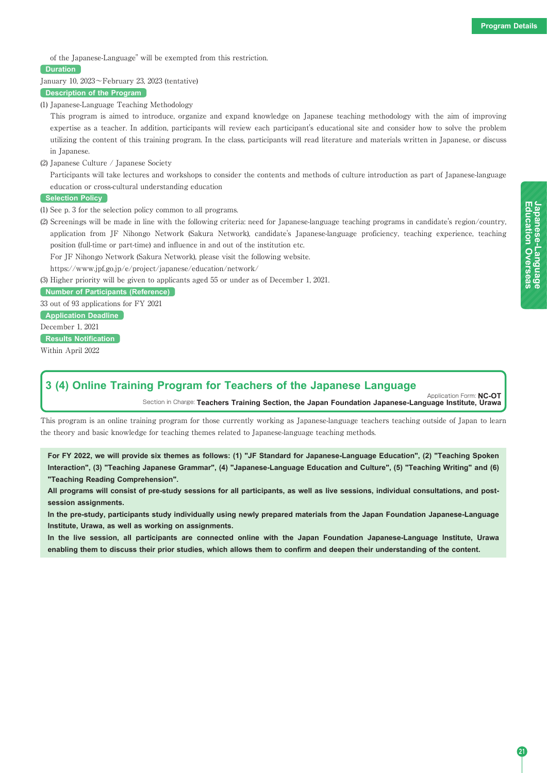**Education**

Japanese-Language<br>Education Overseas

**Japanese-Language**

**Overseas**

of the Japanese-Language" will be exempted from this restriction.

## **Duration**

January 10, 2023~February 23, 2023 (tentative)

**Description of the Program**

(1) Japanese-Language Teaching Methodology

This program is aimed to introduce, organize and expand knowledge on Japanese teaching methodology with the aim of improving expertise as a teacher. In addition, participants will review each participant's educational site and consider how to solve the problem utilizing the content of this training program. In the class, participants will read literature and materials written in Japanese, or discuss in Japanese.

(2) Japanese Culture / Japanese Society

Participants will take lectures and workshops to consider the contents and methods of culture introduction as part of Japanese-language education or cross-cultural understanding education

## **Selection Policy**

- (1) See p. 3 for the selection policy common to all programs.
- (2) Screenings will be made in line with the following criteria: need for Japanese-language teaching programs in candidate's region/country, application from JF Nihongo Network (Sakura Network), candidate's Japanese-language proficiency, teaching experience, teaching position (full-time or part-time) and influence in and out of the institution etc.
	- For JF Nihongo Network (Sakura Network), please visit the following website.

https://www.jpf.go.jp/e/project/japanese/education/network/

(3) Higher priority will be given to applicants aged 55 or under as of December 1, 2021.

**Number of Participants (Reference)**

33 out of 93 applications for FY 2021

**Application Deadline**

December 1, 2021

**Results Notification**

Within April 2022

## **3 (4) Online Training Program for Teachers of the Japanese Language**

Application Form: **NC-OT** Section in Charge: **Teachers Training Section, the Japan Foundation Japanese-Language Institute, Urawa**

This program is an online training program for those currently working as Japanese-language teachers teaching outside of Japan to learn the theory and basic knowledge for teaching themes related to Japanese-language teaching methods.

**For FY 2022, we will provide six themes as follows: (1) "JF Standard for Japanese-Language Education", (2) "Teaching Spoken Interaction", (3) "Teaching Japanese Grammar", (4) "Japanese-Language Education and Culture", (5) "Teaching Writing" and (6) "Teaching Reading Comprehension".**

**All programs will consist of pre-study sessions for all participants, as well as live sessions, individual consultations, and postsession assignments.**

**In the pre-study, participants study individually using newly prepared materials from the Japan Foundation Japanese-Language Institute, Urawa, as well as working on assignments.**

**In the live session, all participants are connected online with the Japan Foundation Japanese-Language Institute, Urawa enabling them to discuss their prior studies, which allows them to confirm and deepen their understanding of the content.**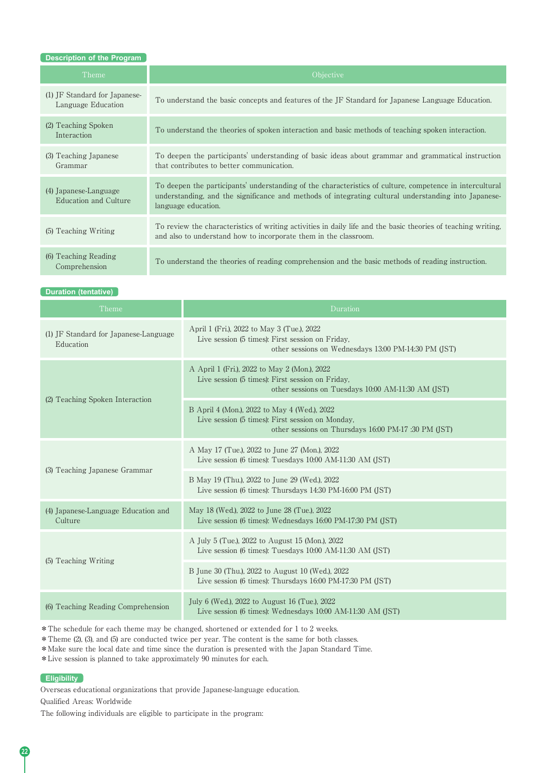| <b>Description of the Program</b>                   |                                                                                                                                                                                                                                         |
|-----------------------------------------------------|-----------------------------------------------------------------------------------------------------------------------------------------------------------------------------------------------------------------------------------------|
| Theme                                               | <i><b>Objective</b></i>                                                                                                                                                                                                                 |
| (1) JF Standard for Japanese-<br>Language Education | To understand the basic concepts and features of the JF Standard for Japanese Language Education.                                                                                                                                       |
| (2) Teaching Spoken<br>Interaction                  | To understand the theories of spoken interaction and basic methods of teaching spoken interaction.                                                                                                                                      |
| (3) Teaching Japanese<br>Grammar                    | To deepen the participants' understanding of basic ideas about grammar and grammatical instruction<br>that contributes to better communication.                                                                                         |
| (4) Japanese-Language<br>Education and Culture      | To deepen the participants' understanding of the characteristics of culture, competence in intercultural<br>understanding, and the significance and methods of integrating cultural understanding into Japanese-<br>language education. |
| (5) Teaching Writing                                | To review the characteristics of writing activities in daily life and the basic theories of teaching writing.<br>and also to understand how to incorporate them in the classroom.                                                       |
| (6) Teaching Reading<br>Comprehension               | To understand the theories of reading comprehension and the basic methods of reading instruction.                                                                                                                                       |

**Duration (tentative)**

| Theme                                              | Duration                                                                                                                                                 |
|----------------------------------------------------|----------------------------------------------------------------------------------------------------------------------------------------------------------|
| (1) JF Standard for Japanese-Language<br>Education | April 1 (Fri.), 2022 to May 3 (Tue.), 2022<br>Live session (5 times): First session on Friday.<br>other sessions on Wednesdays 13:00 PM-14:30 PM (JST)   |
| (2) Teaching Spoken Interaction                    | A April 1 (Fri.), 2022 to May 2 (Mon.), 2022<br>Live session (5 times): First session on Friday,<br>other sessions on Tuesdays 10:00 AM-11:30 AM (JST)   |
|                                                    | B April 4 (Mon.), 2022 to May 4 (Wed.), 2022<br>Live session (5 times): First session on Monday,<br>other sessions on Thursdays 16:00 PM-17 :30 PM (JST) |
| (3) Teaching Japanese Grammar                      | A May 17 (Tue.), 2022 to June 27 (Mon.), 2022<br>Live session (6 times): Tuesdays $10:00$ AM-11:30 AM (JST)                                              |
|                                                    | B May 19 (Thu.), 2022 to June 29 (Wed.), 2022<br>Live session (6 times): Thursdays 14:30 PM-16:00 PM (JST)                                               |
| (4) Japanese-Language Education and<br>Culture     | May 18 (Wed.), 2022 to June 28 (Tue.), 2022<br>Live session (6 times): Wednesdays 16:00 PM-17:30 PM (JST)                                                |
| (5) Teaching Writing                               | A July 5 (Tue.), 2022 to August 15 (Mon.), 2022<br>Live session (6 times): Tuesdays 10:00 AM-11:30 AM (JST)                                              |
|                                                    | B June 30 (Thu.), 2022 to August 10 (Wed.), 2022<br>Live session (6 times): Thursdays 16:00 PM-17:30 PM (JST)                                            |
| (6) Teaching Reading Comprehension                 | July 6 (Wed.), 2022 to August 16 (Tue.), 2022<br>Live session (6 times): Wednesdays 10:00 AM-11:30 AM (JST)                                              |

\*The schedule for each theme may be changed, shortened or extended for 1 to 2 weeks.

\*Theme (2), (3), and (5) are conducted twice per year. The content is the same for both classes.

\*Make sure the local date and time since the duration is presented with the Japan Standard Time.

\*Live session is planned to take approximately 90 minutes for each.

## **Eligibility**

Overseas educational organizations that provide Japanese-language education.

Qualified Areas: Worldwide

The following individuals are eligible to participate in the program: